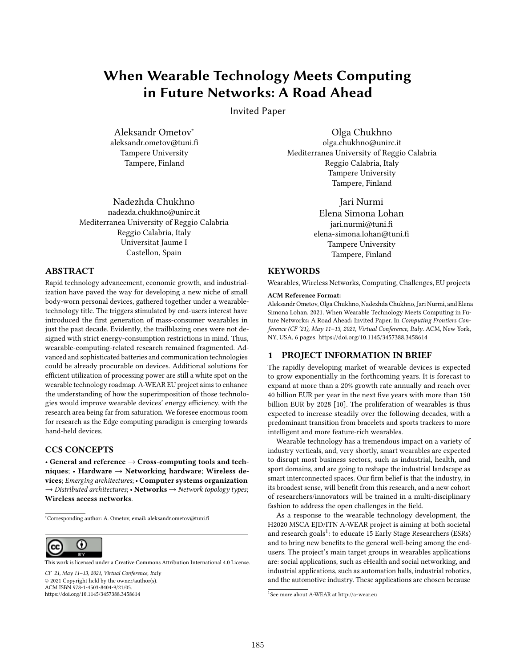# When Wearable Technology Meets Computing in Future Networks: A Road Ahead

Invited Paper

Aleksandr Ometov<sup>∗</sup> aleksandr.ometov@tuni.fi Tampere University Tampere, Finland

Nadezhda Chukhno nadezda.chukhno@unirc.it Mediterranea University of Reggio Calabria Reggio Calabria, Italy Universitat Jaume I Castellon, Spain

# ABSTRACT

Rapid technology advancement, economic growth, and industrialization have paved the way for developing a new niche of small body-worn personal devices, gathered together under a wearabletechnology title. The triggers stimulated by end-users interest have introduced the first generation of mass-consumer wearables in just the past decade. Evidently, the trailblazing ones were not designed with strict energy-consumption restrictions in mind. Thus, wearable-computing-related research remained fragmented. Advanced and sophisticated batteries and communication technologies could be already procurable on devices. Additional solutions for efficient utilization of processing power are still a white spot on the wearable technology roadmap. A-WEAR EU project aims to enhance the understanding of how the superimposition of those technologies would improve wearable devices' energy efficiency, with the research area being far from saturation. We foresee enormous room for research as the Edge computing paradigm is emerging towards hand-held devices.

# CCS CONCEPTS

• General and reference → Cross-computing tools and techniques; • Hardware  $\rightarrow$  Networking hardware; Wireless devices; Emerging architectures; • Computer systems organization  $\rightarrow$  Distributed architectures; • Networks  $\rightarrow$  Network topology types; Wireless access networks.

<sup>∗</sup>Corresponding author: A. Ometov, email: aleksandr.ometov@tuni.fi



[This work is licensed under a Creative Commons Attribution International 4.0 License.](https://creativecommons.org/licenses/by/4.0/)

CF '21, May 11–13, 2021, Virtual Conference, Italy © 2021 Copyright held by the owner/author(s). ACM ISBN 978-1-4503-8404-9/21/05. https://doi.org/10.1145/3457388.3458614

Olga Chukhno olga.chukhno@unirc.it Mediterranea University of Reggio Calabria Reggio Calabria, Italy Tampere University Tampere, Finland

> Jari Nurmi Elena Simona Lohan jari.nurmi@tuni.fi elena-simona.lohan@tuni.fi Tampere University Tampere, Finland

## **KEYWORDS**

Wearables, Wireless Networks, Computing, Challenges, EU projects

## ACM Reference Format:

Aleksandr Ometov, Olga Chukhno, Nadezhda Chukhno, Jari Nurmi, and Elena Simona Lohan. 2021. When Wearable Technology Meets Computing in Future Networks: A Road Ahead: Invited Paper. In Computing Frontiers Conference (CF '21), May 11–13, 2021, Virtual Conference, Italy. ACM, New York, NY, USA, 6 pages. https://doi.org/10.1145/3457388.3458614

## 1 PROJECT INFORMATION IN BRIEF

The rapidly developing market of wearable devices is expected to grow exponentially in the forthcoming years. It is forecast to expand at more than a 20% growth rate annually and reach over 40 billion EUR per year in the next five years with more than 150 billion EUR by 2028 [10]. The proliferation of wearables is thus expected to increase steadily over the following decades, with a predominant transition from bracelets and sports trackers to more intelligent and more feature-rich wearables.

Wearable technology has a tremendous impact on a variety of industry verticals, and, very shortly, smart wearables are expected to disrupt most business sectors, such as industrial, health, and sport domains, and are going to reshape the industrial landscape as smart interconnected spaces. Our firm belief is that the industry, in its broadest sense, will benefit from this research, and a new cohort of researchers/innovators will be trained in a multi-disciplinary fashion to address the open challenges in the field.

As a response to the wearable technology development, the H2020 MSCA EJD/ITN A-WEAR project is aiming at both societal and research goals<sup>1</sup>: to educate 15 Early Stage Researchers (ESRs) and to bring new benefits to the general well-being among the endusers. The project's main target groups in wearables applications are: social applications, such as eHealth and social networking, and industrial applications, such as automation halls, industrial robotics, and the automotive industry. These applications are chosen because

<sup>1</sup> See more about A-WEAR at http://a-wear.eu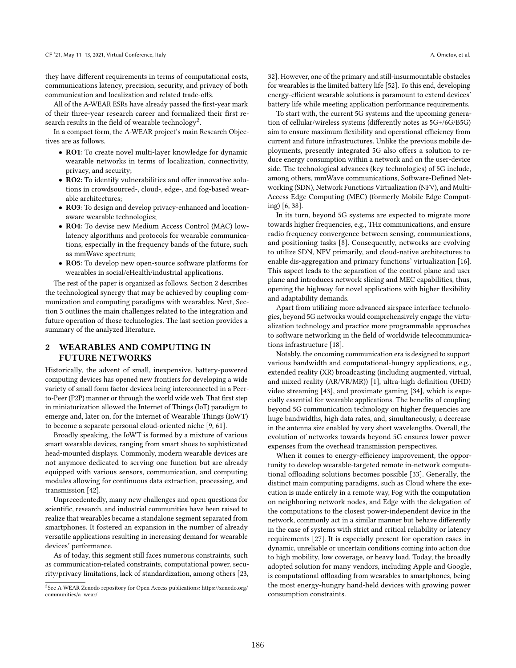they have different requirements in terms of computational costs, communications latency, precision, security, and privacy of both communication and localization and related trade-offs.

All of the A-WEAR ESRs have already passed the first-year mark of their three-year research career and formalized their first research results in the field of wearable technology<sup>2</sup>.

In a compact form, the A-WEAR project's main Research Objectives are as follows.

- RO1: To create novel multi-layer knowledge for dynamic wearable networks in terms of localization, connectivity, privacy, and security;
- RO2: To identify vulnerabilities and offer innovative solutions in crowdsourced-, cloud-, edge-, and fog-based wearable architectures;
- RO3: To design and develop privacy-enhanced and locationaware wearable technologies;
- RO4: To devise new Medium Access Control (MAC) lowlatency algorithms and protocols for wearable communications, especially in the frequency bands of the future, such as mmWave spectrum;
- RO5: To develop new open-source software platforms for wearables in social/eHealth/industrial applications.

The rest of the paper is organized as follows. Section 2 describes the technological synergy that may be achieved by coupling communication and computing paradigms with wearables. Next, Section 3 outlines the main challenges related to the integration and future operation of those technologies. The last section provides a summary of the analyzed literature.

# 2 WEARABLES AND COMPUTING IN FUTURE NETWORKS

Historically, the advent of small, inexpensive, battery-powered computing devices has opened new frontiers for developing a wide variety of small form factor devices being interconnected in a Peerto-Peer (P2P) manner or through the world wide web. That first step in miniaturization allowed the Internet of Things (IoT) paradigm to emerge and, later on, for the Internet of Wearable Things (IoWT) to become a separate personal cloud-oriented niche [9, 61].

Broadly speaking, the IoWT is formed by a mixture of various smart wearable devices, ranging from smart shoes to sophisticated head-mounted displays. Commonly, modern wearable devices are not anymore dedicated to serving one function but are already equipped with various sensors, communication, and computing modules allowing for continuous data extraction, processing, and transmission [42].

Unprecedentedly, many new challenges and open questions for scientific, research, and industrial communities have been raised to realize that wearables became a standalone segment separated from smartphones. It fostered an expansion in the number of already versatile applications resulting in increasing demand for wearable devices' performance.

As of today, this segment still faces numerous constraints, such as communication-related constraints, computational power, security/privacy limitations, lack of standardization, among others [23,

32]. However, one of the primary and still-insurmountable obstacles for wearables is the limited battery life [52]. To this end, developing energy-efficient wearable solutions is paramount to extend devices' battery life while meeting application performance requirements.

To start with, the current 5G systems and the upcoming generation of cellular/wireless systems (differently notes as 5G+/6G/B5G) aim to ensure maximum flexibility and operational efficiency from current and future infrastructures. Unlike the previous mobile deployments, presently integrated 5G also offers a solution to reduce energy consumption within a network and on the user-device side. The technological advances (key technologies) of 5G include, among others, mmWave communications, Software-Defined Networking (SDN), Network Functions Virtualization (NFV), and Multi-Access Edge Computing (MEC) (formerly Mobile Edge Computing) [6, 38].

In its turn, beyond 5G systems are expected to migrate more towards higher frequencies, e.g., THz communications, and ensure radio frequency convergence between sensing, communications, and positioning tasks [8]. Consequently, networks are evolving to utilize SDN, NFV primarily, and cloud-native architectures to enable dis-aggregation and primary functions' virtualization [16]. This aspect leads to the separation of the control plane and user plane and introduces network slicing and MEC capabilities, thus, opening the highway for novel applications with higher flexibility and adaptability demands.

Apart from utilizing more advanced airspace interface technologies, beyond 5G networks would comprehensively engage the virtualization technology and practice more programmable approaches to software networking in the field of worldwide telecommunications infrastructure [18].

Notably, the oncoming communication era is designed to support various bandwidth and computational-hungry applications, e.g., extended reality (XR) broadcasting (including augmented, virtual, and mixed reality (AR/VR/MR)) [1], ultra-high definition (UHD) video streaming [43], and proximate gaming [34], which is especially essential for wearable applications. The benefits of coupling beyond 5G communication technology on higher frequencies are huge bandwidths, high data rates, and, simultaneously, a decrease in the antenna size enabled by very short wavelengths. Overall, the evolution of networks towards beyond 5G ensures lower power expenses from the overhead transmission perspectives.

When it comes to energy-efficiency improvement, the opportunity to develop wearable-targeted remote in-network computational offloading solutions becomes possible [33]. Generally, the distinct main computing paradigms, such as Cloud where the execution is made entirely in a remote way, Fog with the computation on neighboring network nodes, and Edge with the delegation of the computations to the closest power-independent device in the network, commonly act in a similar manner but behave differently in the case of systems with strict and critical reliability or latency requirements [27]. It is especially present for operation cases in dynamic, unreliable or uncertain conditions coming into action due to high mobility, low coverage, or heavy load. Today, the broadly adopted solution for many vendors, including Apple and Google, is computational offloading from wearables to smartphones, being the most energy-hungry hand-held devices with growing power consumption constraints.

<sup>&</sup>lt;sup>2</sup>See A-WEAR Zenodo repository for Open Access publications: https://zenodo.org/ communities/a\_wear/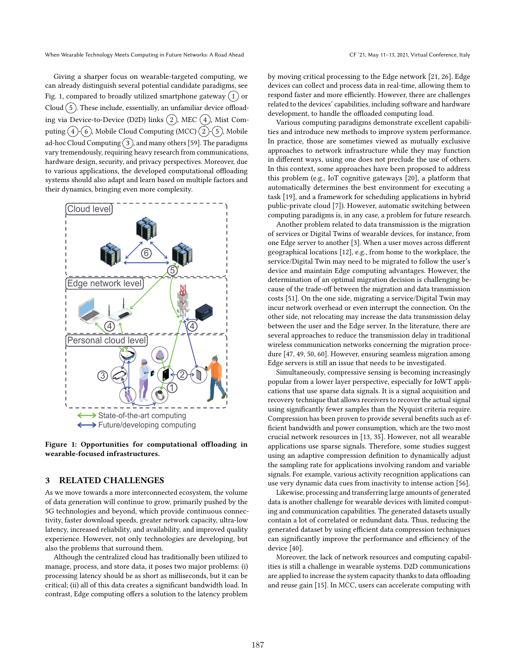Giving a sharper focus on wearable-targeted computing, we can already distinguish several potential candidate paradigms, see Fig. 1, compared to broadly utilized smartphone gateway  $(1)$  or Cloud  $(5)$ . These include, essentially, an unfamiliar device offloading via Device-to-Device (D2D) links  $(2)$ , MEC  $(4)$ , Mist Computing  $(4)$ - $(6)$ , Mobile Cloud Computing (MCC)  $(2)$ - $(5)$ , Mobile ad-hoc Cloud Computing  $(3)$ , and many others [59]. The paradigms vary tremendously, requiring heavy research from communications, hardware design, security, and privacy perspectives. Moreover, due to various applications, the developed computational offloading systems should also adapt and learn based on multiple factors and their dynamics, bringing even more complexity.



Figure 1: Opportunities for computational offloading in wearable-focused infrastructures.

## 3 RELATED CHALLENGES

As we move towards a more interconnected ecosystem, the volume of data generation will continue to grow, primarily pushed by the 5G technologies and beyond, which provide continuous connectivity, faster download speeds, greater network capacity, ultra-low latency, increased reliability, and availability, and improved quality experience. However, not only technologies are developing, but also the problems that surround them.

Although the centralized cloud has traditionally been utilized to manage, process, and store data, it poses two major problems: (i) processing latency should be as short as milliseconds, but it can be critical; (ii) all of this data creates a significant bandwidth load. In contrast, Edge computing offers a solution to the latency problem by moving critical processing to the Edge network [21, 26]. Edge devices can collect and process data in real-time, allowing them to respond faster and more efficiently. However, there are challenges related to the devices' capabilities, including software and hardware development, to handle the offloaded computing load.

Various computing paradigms demonstrate excellent capabilities and introduce new methods to improve system performance. In practice, those are sometimes viewed as mutually exclusive approaches to network infrastructure while they may function in different ways, using one does not preclude the use of others. In this context, some approaches have been proposed to address this problem (e.g., IoT cognitive gateways [20], a platform that automatically determines the best environment for executing a task [19], and a framework for scheduling applications in hybrid public-private cloud [7]). However, automatic switching between computing paradigms is, in any case, a problem for future research.

Another problem related to data transmission is the migration of services or Digital Twins of wearable devices, for instance, from one Edge server to another [3]. When a user moves across different geographical locations [12], e.g., from home to the workplace, the service/Digital Twin may need to be migrated to follow the user's device and maintain Edge computing advantages. However, the determination of an optimal migration decision is challenging because of the trade-off between the migration and data transmission costs [51]. On the one side, migrating a service/Digital Twin may incur network overhead or even interrupt the connection. On the other side, not relocating may increase the data transmission delay between the user and the Edge server. In the literature, there are several approaches to reduce the transmission delay in traditional wireless communication networks concerning the migration procedure [47, 49, 50, 60]. However, ensuring seamless migration among Edge servers is still an issue that needs to be investigated.

Simultaneously, compressive sensing is becoming increasingly popular from a lower layer perspective, especially for IoWT applications that use sparse data signals. It is a signal acquisition and recovery technique that allows receivers to recover the actual signal using significantly fewer samples than the Nyquist criteria require. Compression has been proven to provide several benefits such as efficient bandwidth and power consumption, which are the two most crucial network resources in [13, 35]. However, not all wearable applications use sparse signals. Therefore, some studies suggest using an adaptive compression definition to dynamically adjust the sampling rate for applications involving random and variable signals. For example, various activity recognition applications can use very dynamic data cues from inactivity to intense action [56].

Likewise, processing and transferring large amounts of generated data is another challenge for wearable devices with limited computing and communication capabilities. The generated datasets usually contain a lot of correlated or redundant data. Thus, reducing the generated dataset by using efficient data compression techniques can significantly improve the performance and efficiency of the device [40].

Moreover, the lack of network resources and computing capabilities is still a challenge in wearable systems. D2D communications are applied to increase the system capacity thanks to data offloading and reuse gain [15]. In MCC, users can accelerate computing with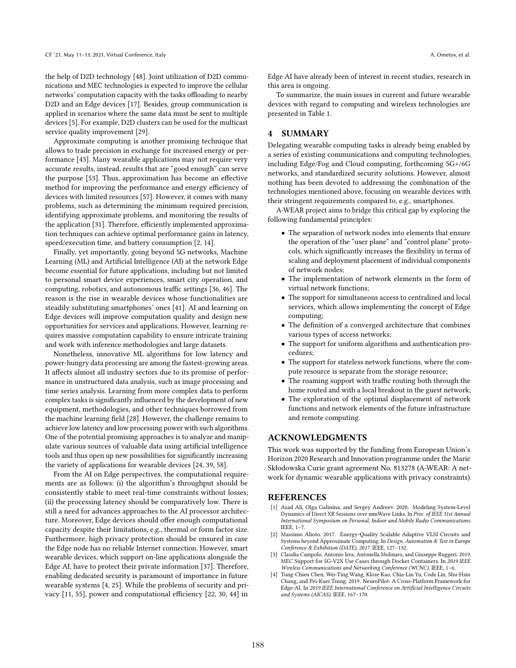the help of D2D technology [48]. Joint utilization of D2D communications and MEC technologies is expected to improve the cellular networks' computation capacity with the tasks offloading to nearby D2D and an Edge devices [17]. Besides, group communication is applied in scenarios where the same data must be sent to multiple devices [5]. For example, D2D clusters can be used for the multicast service quality improvement [29].

Approximate computing is another promising technique that allows to trade precision in exchange for increased energy or performance [45]. Many wearable applications may not require very accurate results, instead, results that are "good enough" can serve the purpose [53]. Thus, approximation has become an effective method for improving the performance and energy efficiency of devices with limited resources [57]. However, it comes with many problems, such as determining the minimum required precision, identifying approximate problems, and monitoring the results of the application [31]. Therefore, efficiently implemented approximation techniques can achieve optimal performance gains in latency, speed/execution time, and battery consumption [2, 14].

Finally, yet importantly, going beyond 5G networks, Machine Learning (ML) and Artificial Intelligence (AI) at the network Edge become essential for future applications, including but not limited to personal smart device experiences, smart city operation, and computing, robotics, and autonomous traffic settings [36, 46]. The reason is the rise in wearable devices whose functionalities are steadily substituting smartphones' ones [41]. AI and learning on Edge devices will improve computation quality and design new opportunities for services and applications. However, learning requires massive computation capability to ensure intricate training and work with inference methodologies and large datasets.

Nonetheless, innovative ML algorithms for low latency and power-hungry data processing are among the fastest-growing areas. It affects almost all industry sectors due to its promise of performance in unstructured data analysis, such as image processing and time series analysis. Learning from more complex data to perform complex tasks is significantly influenced by the development of new equipment, methodologies, and other techniques borrowed from the machine learning field [28]. However, the challenge remains to achieve low latency and low processing power with such algorithms. One of the potential promising approaches is to analyze and manipulate various sources of valuable data using artificial intelligence tools and thus open up new possibilities for significantly increasing the variety of applications for wearable devices [24, 39, 58].

From the AI on Edge perspectives, the computational requirements are as follows: (i) the algorithm's throughput should be consistently stable to meet real-time constraints without losses; (ii) the processing latency should be comparatively low. There is still a need for advances approaches to the AI processor architecture. Moreover, Edge devices should offer enough computational capacity despite their limitations, e.g., thermal or form factor size. Furthermore, high privacy protection should be ensured in case the Edge node has no reliable Internet connection. However, smart wearable devices, which support on-line applications alongside the Edge AI, have to protect their private information [37]. Therefore, enabling dedicated security is paramount of importance in future wearable systems [4, 25]. While the problems of security and privacy [11, 55], power and computational efficiency [22, 30, 44] in

Edge AI have already been of interest in recent studies, research in this area is ongoing.

To summarize, the main issues in current and future wearable devices with regard to computing and wireless technologies are presented in Table 1.

## 4 SUMMARY

Delegating wearable computing tasks is already being enabled by a series of existing communications and computing technologies, including Edge/Fog and Cloud computing, forthcoming 5G+/6G networks, and standardized security solutions. However, almost nothing has been devoted to addressing the combination of the technologies mentioned above, focusing on wearable devices with their stringent requirements compared to, e.g., smartphones.

A-WEAR project aims to bridge this critical gap by exploring the following fundamental principles:

- The separation of network nodes into elements that ensure the operation of the "user plane" and "control plane" protocols, which significantly increases the flexibility in terms of scaling and deployment placement of individual components of network nodes;
- The implementation of network elements in the form of virtual network functions;
- The support for simultaneous access to centralized and local services, which allows implementing the concept of Edge computing;
- The definition of a converged architecture that combines various types of access networks;
- The support for uniform algorithms and authentication procedures;
- The support for stateless network functions, where the compute resource is separate from the storage resource;
- The roaming support with traffic routing both through the home routed and with a local breakout in the guest network;
- The exploration of the optimal displacement of network functions and network elements of the future infrastructure and remote computing.

## ACKNOWLEDGMENTS

This work was supported by the funding from European Union's Horizon 2020 Research and Innovation programme under the Marie Skłodowska Curie grant agreement No. 813278 (A-WEAR: A network for dynamic wearable applications with privacy constraints).

## REFERENCES

- [1] Asad Ali, Olga Galinina, and Sergey Andreev. 2020. Modeling System-Level Dynamics of Direct XR Sessions over mmWave Links. In Proc. of IEEE 31st Annual International Symposium on Personal, Indoor and Mobile Radio Communications. IEEE, 1–7.
- [2] Massimo Alioto. 2017. Energy-Quality Scalable Adaptive VLSI Circuits and Systems beyond Approximate Computing. In Design, Automation & Test in Europe Conference & Exhibition (DATE), 2017. IEEE, 127–132.
- [3] Claudia Campolo, Antonio Iera, Antonella Molinaro, and Giuseppe Ruggeri. 2019. MEC Support for 5G-V2X Use Cases through Docker Containers. In 2019 IEEE Wireless Communications and Networking Conference (WCNC). IEEE, 1–6.
- [4] Tung-Chien Chen, Wei-Ting Wang, Kloze Kao, Chia-Lin Yu, Code Lin, Shu-Hsin Chang, and Pei-Kuei Tsung. 2019. NeuroPilot: A Cross-Platform Framework for Edge-AI. In 2019 IEEE International Conference on Artificial Intelligence Circuits and Systems (AICAS). IEEE, 167–170.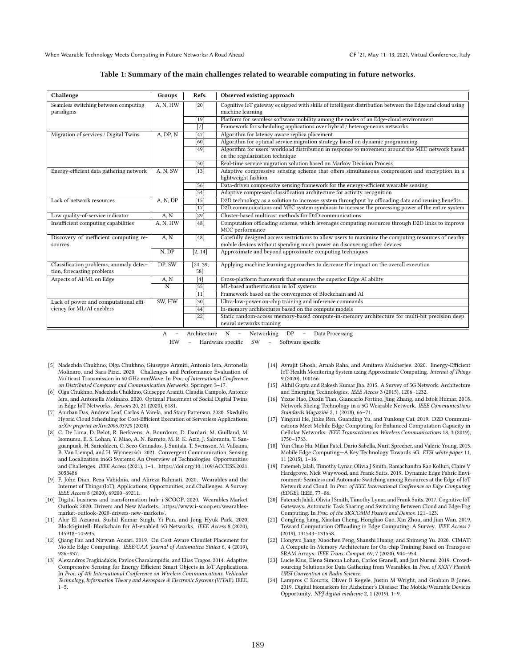#### Table 1: Summary of the main challenges related to wearable computing in future networks.

| Challenge                                                             | Groups         | Refs.             | Observed existing approach                                                                                                                                                     |
|-----------------------------------------------------------------------|----------------|-------------------|--------------------------------------------------------------------------------------------------------------------------------------------------------------------------------|
| Seamless switching between computing<br>paradigms                     | A, N, HW       | $[20]$            | Cognitive IoT gateway equipped with skills of intelligent distribution between the Edge and cloud using<br>machine learning                                                    |
|                                                                       |                | [19]              | Platform for seamless software mobility among the nodes of an Edge-cloud environment                                                                                           |
|                                                                       |                | [7]               | Framework for scheduling applications over hybrid / heterogeneous networks                                                                                                     |
| Migration of services / Digital Twins                                 | A, DP, N       | $[47]$            | Algorithm for latency aware replica placement                                                                                                                                  |
|                                                                       |                | [60]              | Algorithm for optimal service migration strategy based on dynamic programming                                                                                                  |
|                                                                       |                | [49]              | Algorithm for users' workload distribution in response to movement around the MEC network based<br>on the regularization technique                                             |
|                                                                       |                | $\overline{[50]}$ | Real-time service migration solution based on Markov Decision Process                                                                                                          |
| Energy-efficient data gathering network                               | A, N, SW       | $[13]$            | Adaptive compressive sensing scheme that offers simultaneous compression and encryption in a<br>lightweight fashion                                                            |
|                                                                       |                | [56]              | Data-driven compressive sensing framework for the energy-efficient wearable sensing                                                                                            |
|                                                                       |                | $[54]$            | Adaptive compressed classification architecture for activity recognition                                                                                                       |
| Lack of network resources                                             | A, N, DP       | $[15]$            | D2D technology as a solution to increase system throughput by offloading data and reusing benefits                                                                             |
|                                                                       |                | $[17]$            | D2D communications and MEC system symbiosis to increase the processing power of the entire system                                                                              |
| Low quality-of-service indicator                                      | A, N           | $[29]$            | Cluster-based multicast methods for D2D communications                                                                                                                         |
| Insufficient computing capabilities                                   | A, N, HW       | $[48]$            | Computation offloading scheme, which leverages computing resources through D2D links to improve<br>MCC performance                                                             |
| Discovery of inefficient computing re-<br>sources                     | A, N           | [48]              | Carefully designed access restrictions to allow users to maximize the computing resources of nearby<br>mobile devices without spending much power on discovering other devices |
|                                                                       | N, DP          | [2, 14]           | Approximate and beyond approximate computing techniques                                                                                                                        |
| Classification problems, anomaly detec-<br>tion, forecasting problems | DP, SW         | [24, 39,<br>58]   | Applying machine learning approaches to decrease the impact on the overall execution                                                                                           |
| Aspects of AI/ML on Edge                                              | A, N           | $[4]$             | Cross-platform framework that ensures the superior Edge AI ability                                                                                                             |
|                                                                       | $\overline{N}$ | $\overline{[55]}$ | ML-based authentication in IoT systems                                                                                                                                         |
|                                                                       |                | $[11]$            | Framework based on the convergence of Blockchain and AI                                                                                                                        |
| Lack of power and computational effi-                                 | SW, HW         | $[30]$            | Ultra-low-power on-chip training and inference commands                                                                                                                        |
| ciency for ML/AI eneblers                                             |                | $\overline{[44]}$ | In-memory architectures based on the compute models                                                                                                                            |
|                                                                       |                | $[22]$            | Static random-access memory-based compute-in-memory architecture for multi-bit precision deep<br>neural networks training                                                      |
|                                                                       | $\Delta$       |                   | $\Lambda$ rchitecture $N =$ Networking $DP =$<br>Date Procecin <sub>α</sub>                                                                                                    |

Architecture N – Networking DP – Data Processing

HW – Hardware specific SW – Software specific

- [5] Nadezhda Chukhno, Olga Chukhno, Giuseppe Araniti, Antonio Iera, Antonella Molinaro, and Sara Pizzi. 2020. Challenges and Performance Evaluation of Multicast Transmission in 60 GHz mmWave. In Proc. of International Conference on Distributed Computer and Communication Networks. Springer, 3–17.
- [6] Olga Chukhno, Nadezhda Chukhno, Giuseppe Araniti, Claudia Campolo, Antonio Iera, and Antonella Molinaro. 2020. Optimal Placement of Social Digital Twins in Edge IoT Networks. Sensors 20, 21 (2020), 6181.
- [7] Anirban Das, Andrew Leaf, Carlos A Varela, and Stacy Patterson. 2020. Skedulix: Hybrid Cloud Scheduling for Cost-Efficient Execution of Serverless Applications. arXiv preprint arXiv:2006.03720 (2020).
- [8] C. De Lima, D. Belot, R. Berkvens, A. Bourdoux, D. Dardari, M. Guillaud, M. Isomursu, E. S. Lohan, Y. Miao, A. N. Barreto, M. R. K. Aziz, J. Saloranta, T. Sanguanpuak, H. Sarieddeen, G. Seco-Granados, J. Suutala, T. Svensson, M. Valkama, B. Van Liempd, and H. Wymeersch. 2021. Convergent Communication, Sensing and Localization in6G Systems: An Overview of Technologies, Opportunities and Challenges. IEEE Access (2021), 1–1. https://doi.org/10.1109/ACCESS.2021. 3053486
- [9] F. John Dian, Reza Vahidnia, and Alireza Rahmati. 2020. Wearables and the Internet of Things (IoT), Applications, Opportunities, and Challenges: A Survey. IEEE Access 8 (2020), 69200–69211.
- [10] Digital business and transformation hub: i-SCOOP. 2020. Wearables Market Outlook 2020: Drivers and New Markets. https://www.i-scoop.eu/wearablesmarket-outlook-2020-drivers-new-markets/.
- [11] Abir El Azzaoui, Sushil Kumar Singh, Yi Pan, and Jong Hyuk Park. 2020. Block5gintell: Blockchain for AI-enabled 5G Networks. IEEE Access 8 (2020), 145918–145935.
- [12] Qiang Fan and Nirwan Ansari. 2019. On Cost Aware Cloudlet Placement for Mobile Edge Computing. IEEE/CAA Journal of Automatica Sinica 6, 4 (2019), 926–937.
- [13] Alexandros Fragkiadakis, Pavlos Charalampidis, and Elias Tragos. 2014. Adaptive Compressive Sensing for Energy Efficient Smart Objects in IoT Applications. In Proc. of 4th International Conference on Wireless Communications, Vehicular Technology, Information Theory and Aerospace & Electronic Systems (VITAE). IEEE,  $1 - 5$ .
- [14] Avrajit Ghosh, Arnab Raha, and Amitava Mukherjee. 2020. Energy-Efficient IoT-Health Monitoring System using Approximate Computing. Internet of Things 9 (2020), 100166.
- [15] Akhil Gupta and Rakesh Kumar Jha. 2015. A Survey of 5G Network: Architecture and Emerging Technologies. IEEE Access 3 (2015), 1206–1232.
- [16] Yixue Hao, Daxin Tian, Giancarlo Fortino, Jing Zhang, and Iztok Humar. 2018. Network Slicing Technology in a 5G Wearable Network. IEEE Communications Standards Magazine 2, 1 (2018), 66–71.
- [17] Yinghui He, Jinke Ren, Guanding Yu, and Yunlong Cai. 2019. D2D Communications Meet Mobile Edge Computing for Enhanced Computation Capacity in Cellular Networks. IEEE Transactions on Wireless Communications 18, 3 (2019), 1750–1763.
- [18] Yun Chao Hu, Milan Patel, Dario Sabella, Nurit Sprecher, and Valerie Young. 2015. Mobile Edge Computing—A Key Technology Towards 5G. ETSI white paper 11, 11 (2015), 1–16.
- [19] Fatemeh Jalali, Timothy Lynar, Olivia J Smith, Ramachandra Rao Kolluri, Claire V Hardgrove, Nick Waywood, and Frank Suits. 2019. Dynamic Edge Fabric Environment: Seamless and Automatic Switching among Resources at the Edge of IoT Network and Cloud. In Proc. of IEEE International Conference on Edge Computing (EDGE). IEEE, 77–86.
- [20] Fatemeh Jalali, Olivia J Smith, Timothy Lynar, and Frank Suits. 2017. Cognitive IoT Gateways: Automatic Task Sharing and Switching Between Cloud and Edge/Fog Computing. In Proc. of the SIGCOMM Posters and Demos. 121–123.
- [21] Congfeng Jiang, Xiaolan Cheng, Honghao Gao, Xin Zhou, and Jian Wan. 2019. Toward Computation Offloading in Edge Computing: A Survey. IEEE Access 7 (2019), 131543–131558.
- [22] Hongwu Jiang, Xiaochen Peng, Shanshi Huang, and Shimeng Yu. 2020. CIMAT: A Compute-In-Memory Architecture for On-chip Training Based on Transpose SRAM Arrays. IEEE Trans. Comput. 69, 7 (2020), 944–954.
- [23] Lucie Klus, Elena Simona Lohan, Carlos Granell, and Jari Nurmi. 2019. Crowdsourcing Solutions for Data Gathering from Wearables. In Proc. of XXXV Finnish URSI Convention on Radio Science.
- [24] Lampros C Kourtis, Oliver B Regele, Justin M Wright, and Graham B Jones. 2019. Digital biomarkers for Alzheimer's Disease: The Mobile/Wearable Devices Opportunity. NPJ digital medicine 2, 1 (2019), 1–9.